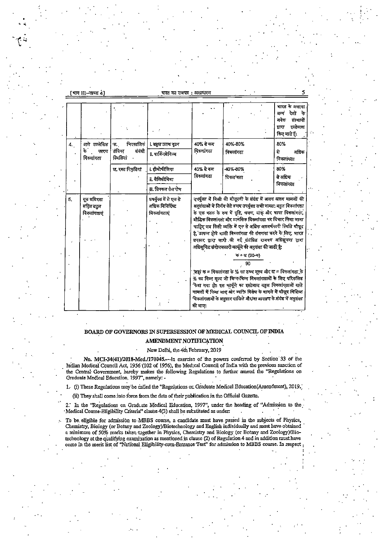[भाग III-खण्ड 4]

 $\mathbf{r}_i$ 

भारत का राजपत्र**:** असाधारण

|    |                                       |                                 |                                                           |                                                                                                                                                                                                                                                                                                                                                                                                                                                                                                                                        |           | भारत के अलावा<br>देशों<br>$-\frac{1}{2}$<br>अन्यं<br>वनक<br>संस्थानों<br>इन्तेमाल<br>द्वारा<br>किए जाते हैं। |
|----|---------------------------------------|---------------------------------|-----------------------------------------------------------|----------------------------------------------------------------------------------------------------------------------------------------------------------------------------------------------------------------------------------------------------------------------------------------------------------------------------------------------------------------------------------------------------------------------------------------------------------------------------------------------------------------------------------------|-----------|--------------------------------------------------------------------------------------------------------------|
| 4. | आगे उल्लेखित                          | निरमलिकं<br>क.                  | <b>i. बहुल उत्तक दृढन</b>                                 | 40% से कम                                                                                                                                                                                                                                                                                                                                                                                                                                                                                                                              | 40%-80%   | 80%                                                                                                          |
| ŧ. | कारण<br>विकलांगता                     | तंत्रिका<br>तंबंधी<br>स्थितियां | <u>ii. पार्किनसेनिज्म</u>                                 | विक्लांगता                                                                                                                                                                                                                                                                                                                                                                                                                                                                                                                             | विकलांगता | से<br>अधिक<br>विक्लांगता                                                                                     |
|    |                                       | ख. रक्त विकृतियां               | i हीमोफीलिया                                              | 40% से कम                                                                                                                                                                                                                                                                                                                                                                                                                                                                                                                              | -40%-80%  | 80%                                                                                                          |
|    |                                       |                                 | ii. वैलिसीमिया                                            | विकलांगता                                                                                                                                                                                                                                                                                                                                                                                                                                                                                                                              | विकल गता  | से अधिक<br>विकलांगता                                                                                         |
|    |                                       |                                 | ill. सिक्कल सेल रोग                                       |                                                                                                                                                                                                                                                                                                                                                                                                                                                                                                                                        |           |                                                                                                              |
| 5. | मूक बधिरता<br>सहित बहुल<br>विकलागताएं |                                 | उपर्युक्त में से एक से<br>अधिक विनिर्दिष्ट<br>विकलांगताएं | उपर्युक्त में किसी की मौजूदगी के संबंध में अलग अलग मामलों की<br>अनुशंसाओं में निर्णय लेते स्पत्य उपर्युक्त सभी नामत: बहुल विकर्लागता<br>के एक घटक के रूप में दृष्टि, श्रवण, वाक् और भाषा विकलांगता,<br>बौद्धिक विकलांगता और मानसिक विकलांगता पर विचार किया जाना<br>चाहिए जब किसी व्यक्ति में एक से अधिक असमर्थकारी स्थिति मौजूद<br>है, उत्पन्न होने वाली विजलांगता की संगणना करने के लिए, भारत<br>सरकार द्वारा जारी की गई संबंधित राजपत्र अधिसूचना द्वारा<br>अधिसूचित संयोजनकारी फार्मूले की अनुशंसा की जाती है.<br>ক + জ (90-ক)<br>90 |           |                                                                                                              |
|    |                                       |                                 |                                                           | जहां क = विकलांगता के % का उच्च मूल्य और ख = विकलांगता के<br>% का निम्न मूल्य जो भिन्न-भिन्न विकलांगताओं के लिए परिकलित<br>केया गया हो। इस फार्मूले का इस्तेमाल बहुल विकलांगताओं वाले<br>नामलों में किया जाए और व्यक्ति विशेष के मामले में मीजूद विशिष्ट<br>चिकलांगताओं के अनुसार दाखिले और/वा आरक्षण के संबंध में अनुशंसा<br>की जाए।                                                                                                                                                                                                  |           |                                                                                                              |

# BOARD OF GOVERNORS IN SUPERSESSION OF MEDICAL COUNCIL OF INDIA AMENDMENT NOTIFICATION

New Delhi, the 4th February, 2019

No. MCI-34(41)/2018-Med./170045.-- In exercise of the powers conferred by Section 33 of the Indian Medical Council Act, 1956 (102 of 1956), the Medical Council of India with the previous sanction of the Central Government, hereby makes the following Regulations to further amend the "Regulations on Graduate Medical Education, 1997", namely: -

1. (i) These Regulations may be called the "Regulations or Graduate Medical Education(Amendment), 2019.

(ii) They shall come into force from the date of their publication in the Official Gazette.

2. In the "Regulations on Graduate Medical Education, 1997", under the heading of "Admission to the Medical Course-Eligibility Criteria" clause 4(3) shall be substituted as under:

To be eligible for admission to MBBS course, a candidate must have passed in the subjects of Physics, Chemistry, Biology (or Botany and Zoology)/Biotechnology and English individually and must have obtained a minimum of 50% marks taken together in Physics, Chemistry and Biology (or Botany and Zoology)/Biotechnology at the qualifying examination as mentioned in clause (2) of Regulation 4 and in addition must have come in the merit list of "National Eligibility-cum-Entrance Test" for admission to MBBS course. In respect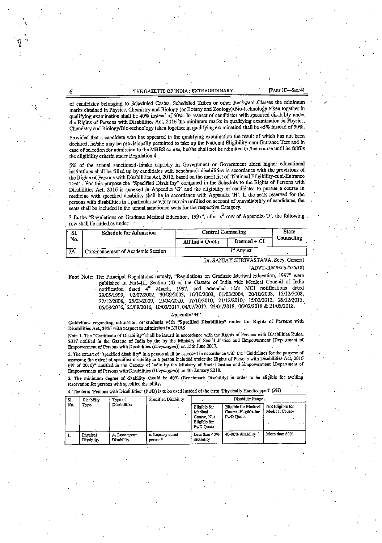## THE GAZETTE OF INDIA : EXTRAORDINARY [PART III-SEC 4]

of candidates belonging to Scheduled Castes, Scheduled Tribes or other Backward -Classes the minimum marks obtained in Physics, Chemistry and Biology (or Botany and Zoology)/Bio-technology taken together in qualifying examination shall be 40% instead of 50%. In respect of candidates with specified disability under the Rights of Persons with Disabilities Act, 2016 the minimum marks in qualifying examination in Physics, Chemistry and Biology/Bio-technoIogy taken together in qualifying examinatiori shall be 45% instead of 50%.

Provided that a candidate who has appeared in the qualifying examination the result of which has not been declared, he/she may be provisionally permitted to take up the National Eligibility-cum-Entrance Test and in case of selection for admission to the MBBS course, he/she shall not be admitted to that course until he fulfils the eligibility criteria under Regulation 4.

5% of the nrnnal sanctioned-ihtaks capacity in Government or Government aided higher educational institutions shall be filled up by candidates with benchmark disabilities in accordance with the provisions of the Rights of Persons with Disabilities Act, 2016, based on the merit list of 'National Eligibility-cum-Entrance Test'. For this purpose the "Specified Disability" contained in the Schedule to the Rights of Persons with Disabilities Act, 2016 is annexed in Appendix 'G' and the eligibility of candidates to pursue a course in medicine witli specified disability shall be in accordance with Appendix 'H'. If the seats reserved for the persons with disabilities in a particular category remain unfilled on account of unavailability of candidates, the seats shall be included in the annual sanctioned seats for the respective Category.

3 In the "Regulations on Graduate Medical Education, 1997", after  $7<sup>th</sup>$  row of Appendix-'F', the following. row shall be added as under:

| SI. | <b>Schedule for Admission</b>    | <b>Central Counseling</b> | State<br>Counseling |  |
|-----|----------------------------------|---------------------------|---------------------|--|
| No. |                                  | All'India Quota           | Deemed + CI         |  |
| 7A. | Commencement of Academic Session |                           |                     |  |

#### Dr. SANJAY SHRIVASTAVA, Secy. General [ADVT.-III/4/Exty./525/18]

Foot Note: The Principal Regulations namely, "Regulations on Graduate Medical Education, 1997" were published In Part-HT. Section (4) of tlie Gazette of India vide Medical Council of India notification dated  $4^{\mu}$  March, 1997, and amended vide MCI notifications dated ■'9/05/1999, 024)7/2002. 304)9/2003, 1&1(V2003, 01433/2004, 20/10/2008, 15/12/2008, ''2/12/2008, 25/03/2009, 19/04/2010, 07/10/2010, 2yi2/20i0.- 15/4)2/2012. 29/12/2015, 05/08/2016, 21/09/2016, 10/03/2017, 04/07/2017, 23/01/2018, 06/02/2018 & 21/05/2018.

## Appendix "H"

Guidelines regarding admission of students with ."Specified Disabilities" under the Rights of Persons with Disabilities Act, 2016 with respect to admission in MBBS

Note 1. The "Certificate of Disability" shall be issued in accordance with the Rights of Persons with Disabilities Rules. 2017 notified in the Gazette of India by the by the Ministry of Social Justice and Empowerment [Department of Empowerment of Persons with Disabilities (Divyangjan)] on 15th June 2017.

2. The extent of "specified disability" In a person shall be assessed in accordance wicl: tlie "Guidelines for the purpose of assessing the extent of specified disability in a person included under the Rights of Persons with Disabilities Act, 2016 (49 of 2016)" notified in the Gazette of India by the Ministry of Social Justice and Empowerment [Department of Empowerment of Persons with Disabilitics (Divyangian)] on 4th January 2018.

.3. The minimum degree of disability should be 40% (Benchmark Disability) in order to be eligible for availing reservation for persons with specified disability.

4. The term 'Persons with Disabilities' (PwD) is to be used instead of the term 'Physically Handicapped" (PH)

| `Sl.<br>No. | Disabi ity<br>Турс            | Type of<br><b>Disabilities</b> | Specified Disability        | Disability Range,                                                   |                                                           |                                    |
|-------------|-------------------------------|--------------------------------|-----------------------------|---------------------------------------------------------------------|-----------------------------------------------------------|------------------------------------|
|             |                               |                                |                             | Elizible for<br>Medical<br>Course, Not<br>Eligible for<br>PwD Ouota | Eligible for Medical<br>Course, Eligible for<br>PwD Ouota | Not Eligible for<br>Medical Course |
| л.          | Physical<br><b>Disability</b> | A. Locomotor<br>Disability.    | a. Leprosy cured<br>person* | Less than 40%<br>disability                                         | 40-80% disability                                         | More than 80%                      |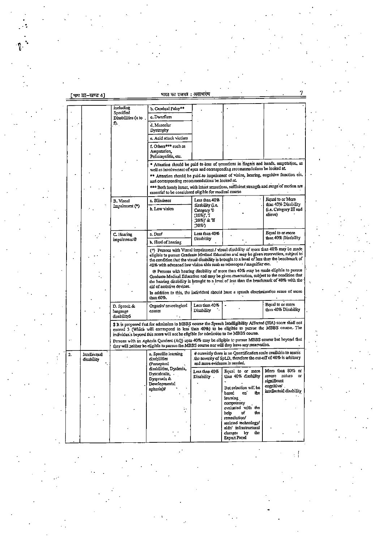[ ਸਾਧ III-खण्ड 4]

 $\overline{2}$ 

including<br>Specified<br>Disabilities (a to b. Cerebral Palsy\*\* c. Dwarfism f). d, Muscular Dystrophy e, Acid attack victims  $\overline{t}$ . Others<sup>#\*\*</sup> such as Amputation. Poliomyelitis, etc. \* Attention should be paid to loss of sensations in fingers and hands, amputation, as well as involvement of eyes and corresponding recommendations be looked at. \*\* Attention should be paid to impairment of vision, hearing, cognitive function etc. and corresponding recommendations be looked at. \*\*\* Both hands intact, with intact sensations, sufficient strength and range of motion are essential to be considered eligible for medical course Equal to or More .<br>Less than 40% a. Blindness **B.** Visual disability (i.e. than 40% Disability Impairment (\*) Category '0<br>
Category '0<br>  $(10\%)$ ', '1<br>  $(20\%)$ ' & '11<br>  $(30\%)$ b. Low vision (i.e. Category III and aliove) Equal to or more a. Deaf Less than  $40%$ C. Hearing than 40% Disnbility impairment@ Disability b. Hard of hearing (\*) Persons with Visual impairment / visual disability of more than 40% may be made eligible to pursue Graduate Medical Education and may be given reservation, subject to<br>the condition that the visual disability is brought to a level of less than the benchmark of 40% with advanced low vision aids such as telescopes / magnifier etc. @ Persons with hearing disability of more than 40% may be made eligible to pursue Graduate Medical Education and may be given reservation, subject to the condition that<br>the hearing disability is brought to a level of less than the benchmark of 40% with the ald of assistive devices. In addition to this, the individual should have a speech discrimination score of more than 60%. Equal to or more Less than 40% D. Speech & Organic/neurological Disability than 40% Disability language causes disabilityS \$ It is preposed that for admission to MBBS course the Speech Intelligibility Affected (SIA) score shall not exceed 3 (Which will correspond to less than 40%) to be eligible to pursue the MBBS course. The individuals beyond this score will not be eligible for admission to the MBBS course. Persons with an Aphasia Quotient (AQ) upto 40% may be eligible to pursue MBBS course but beyond that they will resident be eligible to pursue the MBBS course nor will they have any reservation. # currently there is no Quantification scale available to assess a. Specific learning Intellectual the severity of SpLD, therefore the cut-off of 40% is arbitrary disabilities disability and more evidence is needed. (Perceptual<br>disabilities, Dyslexia, Equal to or more More than 80% or Less than 40% Dyscalculia. Disability severe nature or Dyspraxia & significant Developmental cognitive/ But selection will be aphasia)# intellectual disability basec  $\mathbf{on}$ the learning competency<br>evaluated with the ŧ  $_{\rm{help}}$ of the remediation/ assisted technology/ aids/ infrastructural changes by th. Expert Panel

 $\overline{7}$